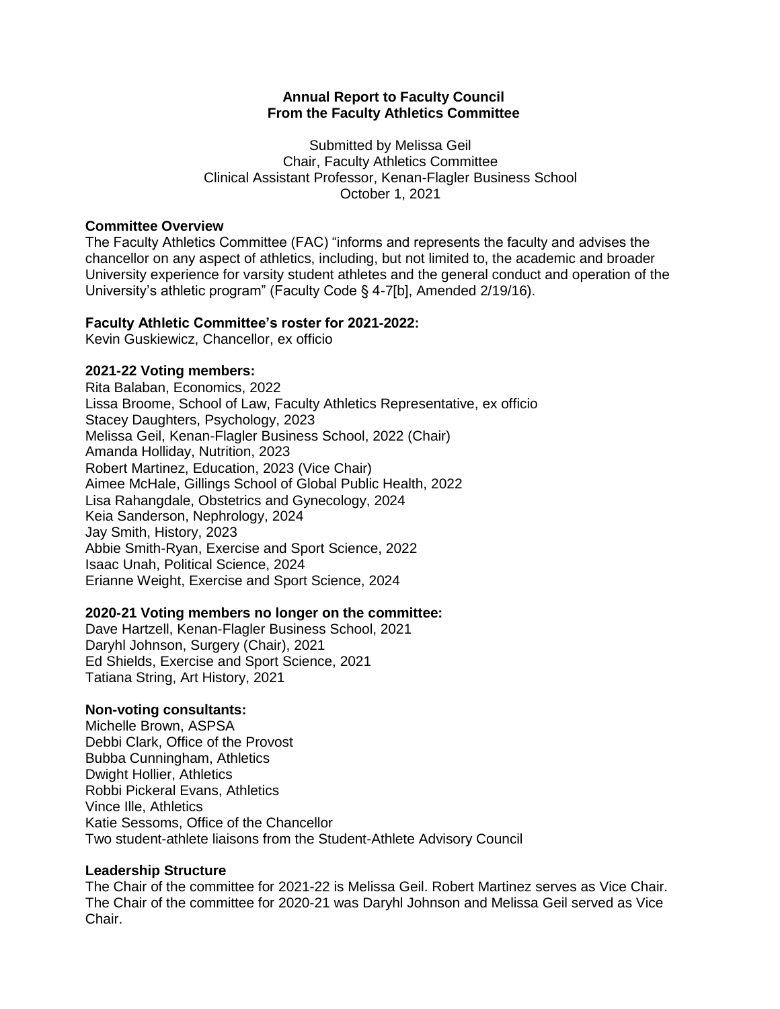## **Annual Report to Faculty Council From the Faculty Athletics Committee**

Submitted by Melissa Geil Chair, Faculty Athletics Committee Clinical Assistant Professor, Kenan-Flagler Business School October 1, 2021

#### **Committee Overview**

The Faculty Athletics Committee (FAC) "informs and represents the faculty and advises the chancellor on any aspect of athletics, including, but not limited to, the academic and broader University experience for varsity student athletes and the general conduct and operation of the University's athletic program" (Faculty Code § 4-7[b], Amended 2/19/16).

## **Faculty Athletic Committee's roster for 2021-2022:**

Kevin Guskiewicz, Chancellor, ex officio

## **2021-22 Voting members:**

Rita Balaban, Economics, 2022 Lissa Broome, School of Law, Faculty Athletics Representative, ex officio Stacey Daughters, Psychology, 2023 Melissa Geil, Kenan-Flagler Business School, 2022 (Chair) Amanda Holliday, Nutrition, 2023 Robert Martinez, Education, 2023 (Vice Chair) Aimee McHale, Gillings School of Global Public Health, 2022 Lisa Rahangdale, Obstetrics and Gynecology, 2024 Keia Sanderson, Nephrology, 2024 Jay Smith, History, 2023 Abbie Smith-Ryan, Exercise and Sport Science, 2022 Isaac Unah, Political Science, 2024 Erianne Weight, Exercise and Sport Science, 2024

#### **2020-21 Voting members no longer on the committee:**

Dave Hartzell, Kenan-Flagler Business School, 2021 Daryhl Johnson, Surgery (Chair), 2021 Ed Shields, Exercise and Sport Science, 2021 Tatiana String, Art History, 2021

#### **Non-voting consultants:**

Michelle Brown, ASPSA Debbi Clark, Office of the Provost Bubba Cunningham, Athletics Dwight Hollier, Athletics Robbi Pickeral Evans, Athletics Vince Ille, Athletics Katie Sessoms, Office of the Chancellor Two student-athlete liaisons from the Student-Athlete Advisory Council

## **Leadership Structure**

The Chair of the committee for 2021-22 is Melissa Geil. Robert Martinez serves as Vice Chair. The Chair of the committee for 2020-21 was Daryhl Johnson and Melissa Geil served as Vice Chair.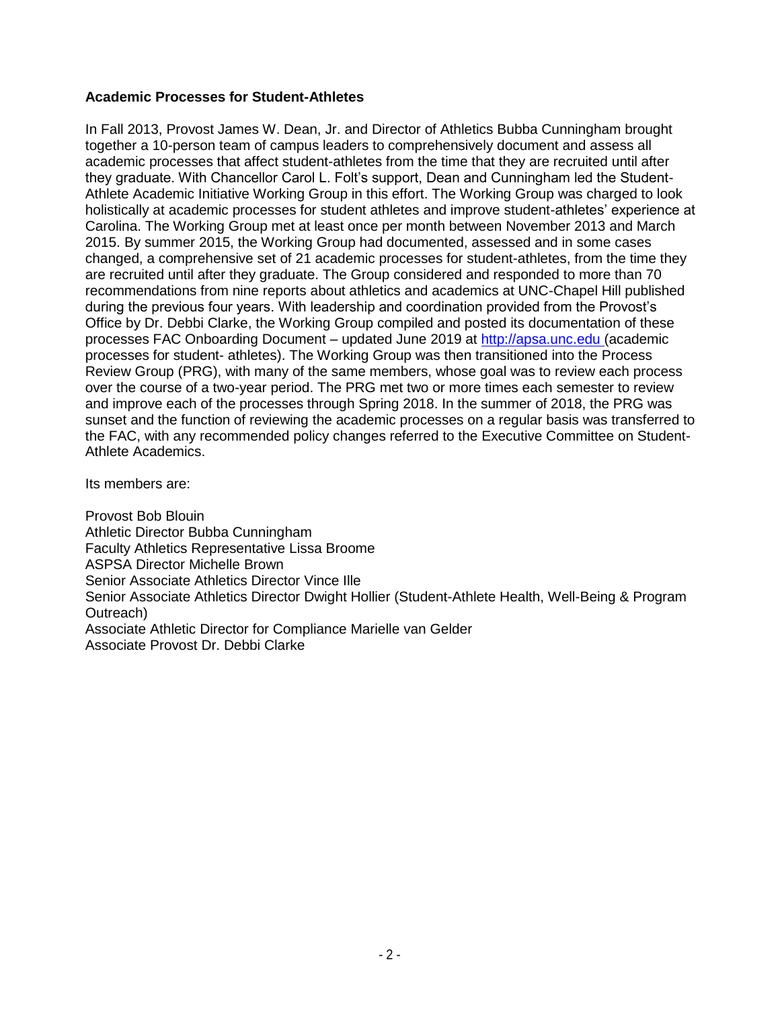# **Academic Processes for Student-Athletes**

In Fall 2013, Provost James W. Dean, Jr. and Director of Athletics Bubba Cunningham brought together a 10-person team of campus leaders to comprehensively document and assess all academic processes that affect student-athletes from the time that they are recruited until after they graduate. With Chancellor Carol L. Folt's support, Dean and Cunningham led the Student-Athlete Academic Initiative Working Group in this effort. The Working Group was charged to look holistically at academic processes for student athletes and improve student-athletes' experience at Carolina. The Working Group met at least once per month between November 2013 and March 2015. By summer 2015, the Working Group had documented, assessed and in some cases changed, a comprehensive set of 21 academic processes for student-athletes, from the time they are recruited until after they graduate. The Group considered and responded to more than 70 recommendations from nine reports about athletics and academics at UNC-Chapel Hill published during the previous four years. With leadership and coordination provided from the Provost's Office by Dr. Debbi Clarke, the Working Group compiled and posted its documentation of these processes FAC Onboarding Document – updated June 2019 at [http://apsa.unc.edu \(](http://apsa.unc.edu/)academic processes for student- athletes). The Working Group was then transitioned into the Process Review Group (PRG), with many of the same members, whose goal was to review each process over the course of a two-year period. The PRG met two or more times each semester to review and improve each of the processes through Spring 2018. In the summer of 2018, the PRG was sunset and the function of reviewing the academic processes on a regular basis was transferred to the FAC, with any recommended policy changes referred to the Executive Committee on Student-Athlete Academics.

Its members are:

Provost Bob Blouin Athletic Director Bubba Cunningham Faculty Athletics Representative Lissa Broome ASPSA Director Michelle Brown Senior Associate Athletics Director Vince Ille Senior Associate Athletics Director Dwight Hollier (Student-Athlete Health, Well-Being & Program Outreach) Associate Athletic Director for Compliance Marielle van Gelder Associate Provost Dr. Debbi Clarke